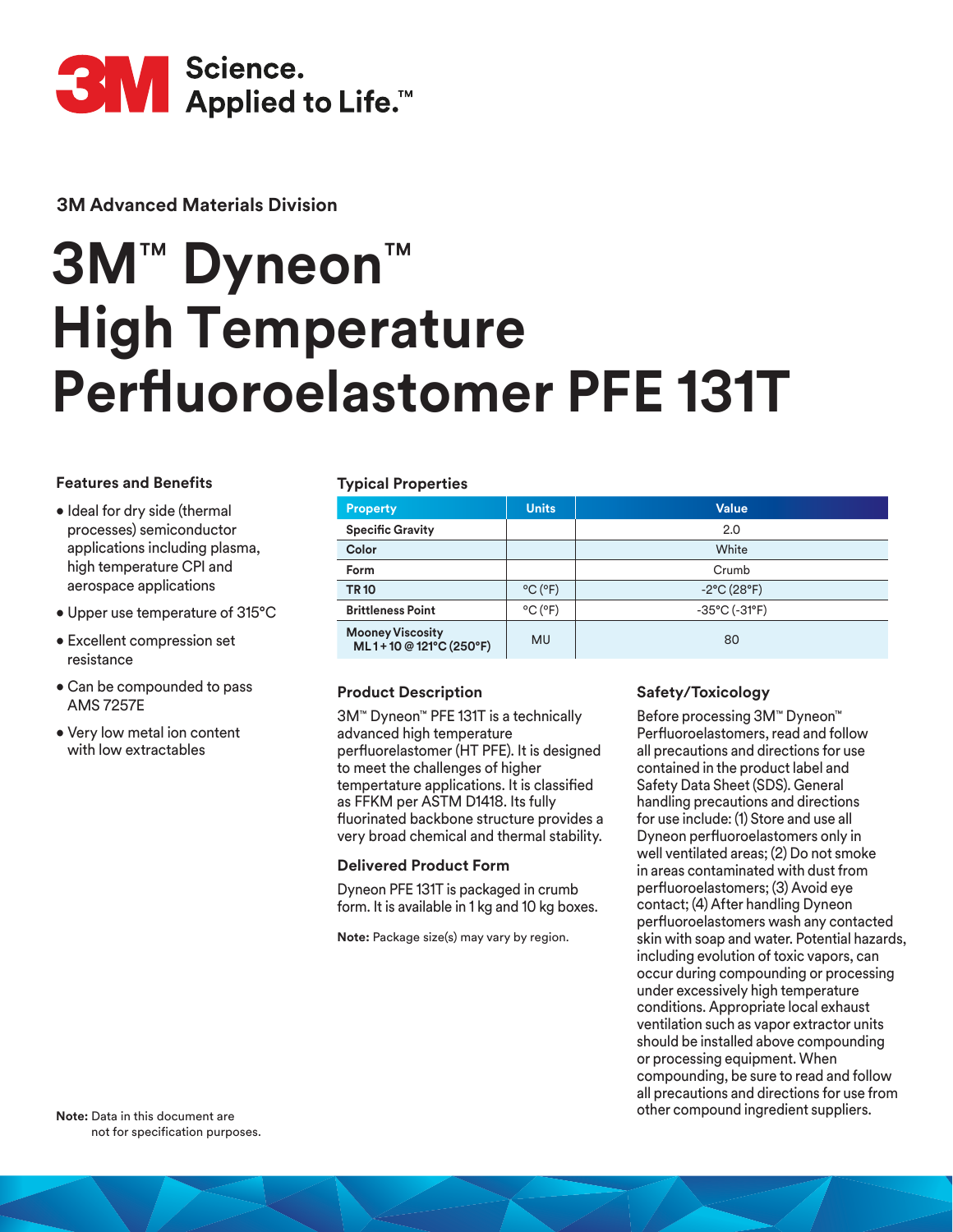

**3M Advanced Materials Division**

# **3M**™ **Dyneon**™ **High Temperature Perfluoroelastomer PFE 131T**

## **Features and Benefits**

- Ideal for dry side (thermal processes) semiconductor applications including plasma, high temperature CPI and aerospace applications
- Upper use temperature of 315°C
- Excellent compression set resistance
- Can be compounded to pass AMS 7257E
- Very low metal ion content with low extractables

## **Typical Properties**

| . .                                              |                              |                                    |
|--------------------------------------------------|------------------------------|------------------------------------|
| <b>Property</b>                                  | <b>Units</b>                 | <b>Value</b>                       |
| <b>Specific Gravity</b>                          |                              | 2.0                                |
| Color                                            |                              | White                              |
| Form                                             |                              | Crumb                              |
| <b>TR10</b>                                      | $^{\circ}$ C ( $^{\circ}$ F) | $-2$ °C (28°F)                     |
| <b>Brittleness Point</b>                         | $^{\circ}$ C ( $^{\circ}$ F) | $-35^{\circ}$ C ( $-31^{\circ}$ F) |
| <b>Mooney Viscosity</b><br>ML1+10 @121°C (250°F) | <b>MU</b>                    | 80                                 |

# **Product Description**

3M™ Dyneon™ PFE 131T is a technically advanced high temperature perfluorelastomer (HT PFE). It is designed to meet the challenges of higher tempertature applications. It is classified as FFKM per ASTM D1418. Its fully fluorinated backbone structure provides a very broad chemical and thermal stability.

## **Delivered Product Form**

Dyneon PFE 131T is packaged in crumb form. It is available in 1 kg and 10 kg boxes.

**Note:** Package size(s) may vary by region.

# **Safety/Toxicology**

Before processing 3M™ Dyneon™ Perfluoroelastomers, read and follow all precautions and directions for use contained in the product label and Safety Data Sheet (SDS). General handling precautions and directions for use include: (1) Store and use all Dyneon perfluoroelastomers only in well ventilated areas; (2) Do not smoke in areas contaminated with dust from perfluoroelastomers; (3) Avoid eye contact; (4) After handling Dyneon perfluoroelastomers wash any contacted skin with soap and water. Potential hazards, including evolution of toxic vapors, can occur during compounding or processing under excessively high temperature conditions. Appropriate local exhaust ventilation such as vapor extractor units should be installed above compounding or processing equipment. When compounding, be sure to read and follow all precautions and directions for use from other compound ingredient suppliers.

**Note:** Data in this document are not for specification purposes.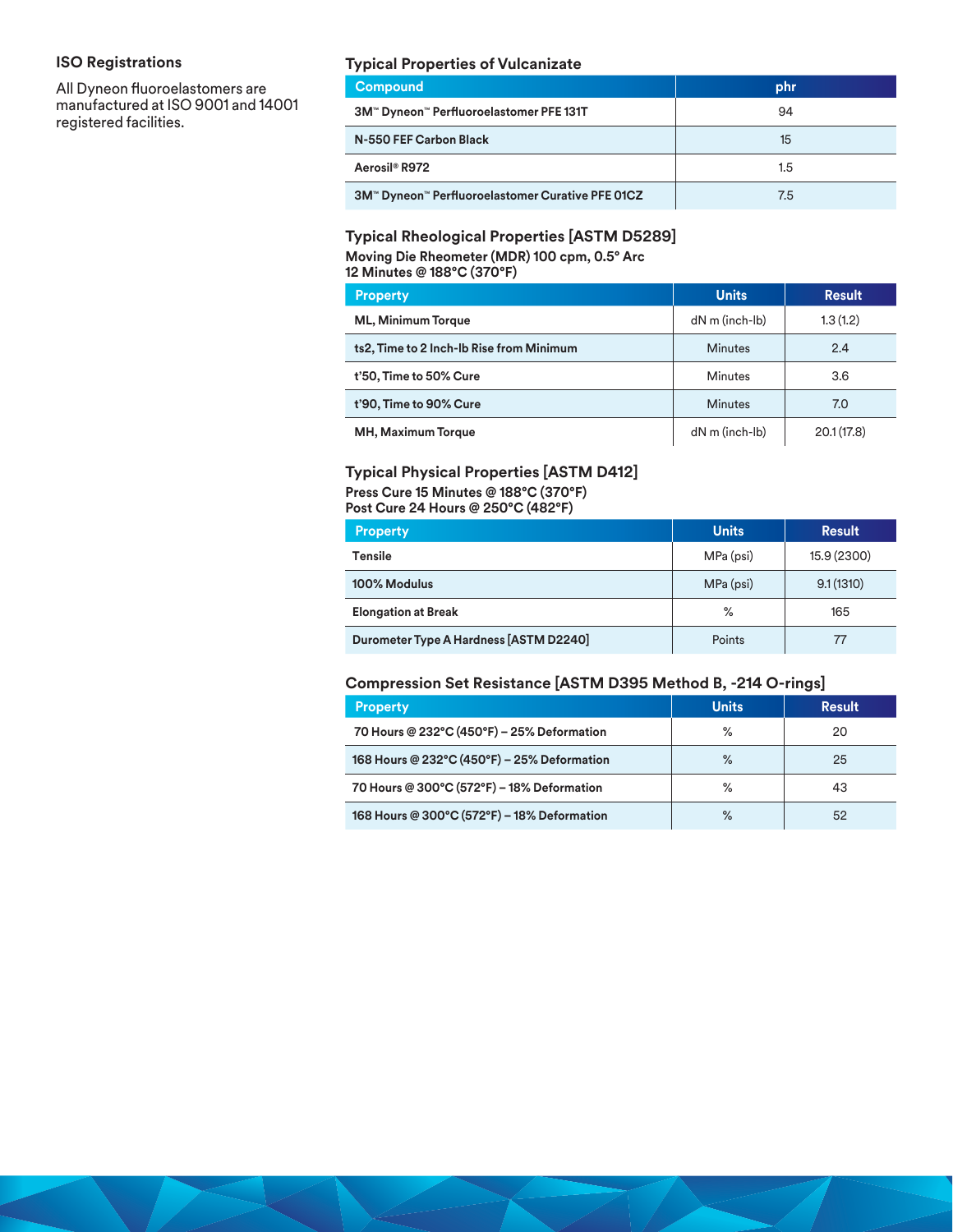# **ISO Registrations**

All Dyneon fluoroelastomers are manufactured at ISO 9001 and 14001 registered facilities.

## **Typical Properties of Vulcanizate**

| <b>Compound</b>                                  | phr |
|--------------------------------------------------|-----|
| 3M™ Dyneon™ Perfluoroelastomer PFE 131T          | 94  |
| N-550 FEF Carbon Black                           | 15  |
| Aerosil <sup>®</sup> R972                        | 1.5 |
| 3M™ Dyneon™ Perfluoroelastomer Curative PFE 01CZ | 7.5 |

# **Typical Rheological Properties [ASTM D5289] Moving Die Rheometer (MDR) 100 cpm, 0.5° Arc**

| 12 Minutes @ 188°C (370°F)               |                      |               |  |
|------------------------------------------|----------------------|---------------|--|
| <b>Property</b>                          | <b>Units</b>         | <b>Result</b> |  |
| <b>ML, Minimum Torque</b>                | $dN$ m (inch- $lb$ ) | 1.3(1.2)      |  |
| ts2, Time to 2 Inch-Ib Rise from Minimum | <b>Minutes</b>       | 2.4           |  |
| t'50, Time to 50% Cure                   | <b>Minutes</b>       | 3.6           |  |
| t'90, Time to 90% Cure                   | <b>Minutes</b>       | 7.0           |  |
| <b>MH, Maximum Torque</b>                | $dN$ m (inch- $lb$ ) | 20.1(17.8)    |  |

## **Typical Physical Properties [ASTM D412]**

**Press Cure 15 Minutes @ 188°C (370°F)**

**Post Cure 24 Hours @ 250°C (482°F)**

| <b>Property</b>                        | <b>Units</b> | <b>Result</b> |
|----------------------------------------|--------------|---------------|
| <b>Tensile</b>                         | MPa (psi)    | 15.9 (2300)   |
| 100% Modulus                           | MPa (psi)    | 9.1(1310)     |
| <b>Elongation at Break</b>             | ℅            | 165           |
| Durometer Type A Hardness [ASTM D2240] | Points       | 77            |

## **Compression Set Resistance [ASTM D395 Method B, -214 O-rings]**

| <b>Property</b>                             | <b>Units</b> | <b>Result</b> |
|---------------------------------------------|--------------|---------------|
| 70 Hours @ 232°C (450°F) - 25% Deformation  | %            | 20            |
| 168 Hours @ 232°C (450°F) - 25% Deformation | %            | 25            |
| 70 Hours @ 300°C (572°F) - 18% Deformation  | %            | 43            |
| 168 Hours @ 300°C (572°F) - 18% Deformation | $\%$         | 52            |